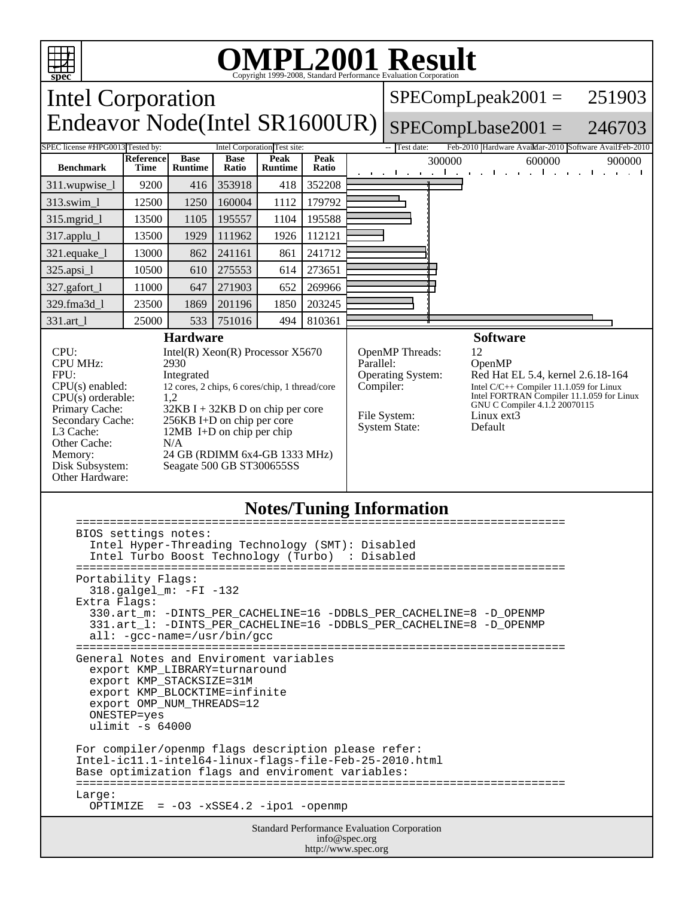

## **Notes/Tuning Information**

| BIOS settings notes:<br>Intel Hyper-Threading Technology (SMT): Disabled<br>Intel Turbo Boost Technology (Turbo) : Disabled                                                                                                                   |  |  |  |
|-----------------------------------------------------------------------------------------------------------------------------------------------------------------------------------------------------------------------------------------------|--|--|--|
| Portability Flags:<br>318.galgel_m: -FI -132<br>Extra Flags:<br>330.art_m: -DINTS_PER_CACHELINE=16 -DDBLS_PER_CACHELINE=8 -D_OPENMP<br>331.art_1: -DINTS_PER_CACHELINE=16 -DDBLS_PER_CACHELINE=8 -D_OPENMP<br>$all: -gcc-name = /usr/bin/gcc$ |  |  |  |
| General Notes and Enviroment variables<br>export KMP LIBRARY=turnaround<br>export KMP STACKSIZE=31M<br>export KMP_BLOCKTIME=infinite<br>export OMP NUM THREADS=12<br>ONESTEP=yes<br>ulimit $-s$ 64000                                         |  |  |  |
| For compiler/openmp flags description please refer:<br>Intel-ic11.1-intel64-linux-flags-file-Feb-25-2010.html<br>Base optimization flags and enviroment variables:<br>Large:<br>OPTIMIZE = $-03 - xSSE4.2 - ipo1 - openmp$                    |  |  |  |
| <b>Standard Performance Evaluation Corporation</b><br>info@spec.org                                                                                                                                                                           |  |  |  |

http://www.spec.org